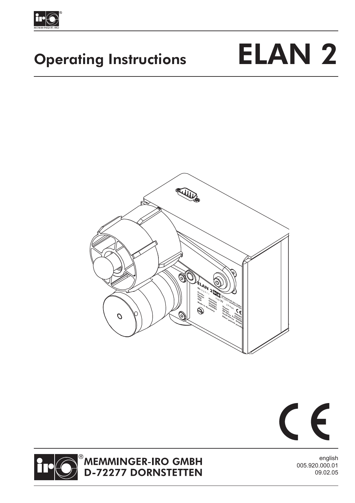

# Operating Instructions ELAN 2







## MEMMINGER-IRO GMBH<br>D-72277 DORNSTETTEN

english 005.920.000.01 09.02.05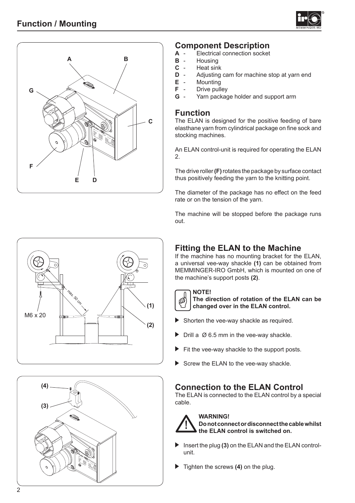



## **Component Description**

- **A** Electrical connection socket
- **B** Housing
- **C** Heat sink
- **D** Adjusting cam for machine stop at yarn end
- **E** Mounting
- **F** Drive pulley
- **G** Yarn package holder and support arm

### **Function**

The ELAN is designed for the positive feeding of bare elasthane yarn from cylindrical package on fine sock and stocking machines.

An ELAN control-unit is required for operating the ELAN 2.

The drive roller **(F)** rotates the package by surface contact thus positively feeding the yarn to the knitting point.

The diameter of the package has no effect on the feed rate or on the tension of the yarn.

The machine will be stopped before the package runs out.

## max. 50 cm **(1) (2)** M6 x 20



## **Fitting the ELAN to the Machine**

If the machine has no mounting bracket for the ELAN, a universal vee-way shackle **(1)** can be obtained from MEMMINGER-IRO GmbH, which is mounted on one of the machine's support posts **(2)**.



#### **The direction of rotation of the ELAN can be changed over in the ELAN control.**

- Shorten the vee-way shackle as required.
- Drill a Ø 6.5 mm in the vee-way shackle.
- Fit the vee-way shackle to the support posts.
- Screw the ELAN to the vee-way shackle.

## **Connection to the ELAN Control**

The ELAN is connected to the ELAN control by a special cable.



### **Do not connect or disconnect the cable whilst the ELAN control is switched on.**

- Insert the plug (3) on the ELAN and the ELAN controlunit.
- Tighten the screws **(4)** on the plug.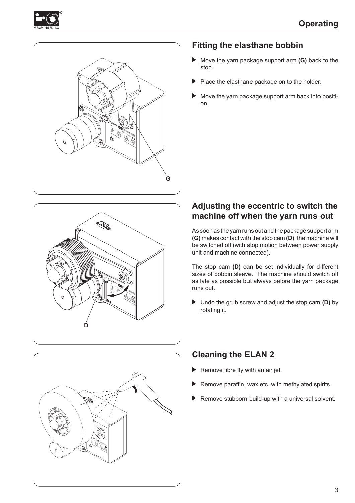







## **Fitting the elasthane bobbin**

- Move the yarn package support arm **(G)** back to the stop.
- Place the elasthane package on to the holder.
- Move the yarn package support arm back into position.

## **Adjusting the eccentric to switch the machine off when the yarn runs out**

As soon as the yarn runs out and the package support arm **(G)** makes contact with the stop cam **(D)**, the machine will be switched off (with stop motion between power supply unit and machine connected).

The stop cam **(D)** can be set individually for different sizes of bobbin sleeve. The machine should switch off as late as possible but always before the yarn package runs out.

 Undo the grub screw and adjust the stop cam **(D)** by rotating it.

## **Cleaning the ELAN 2**

- Remove fibre fly with an air jet.
- Remove paraffin, wax etc. with methylated spirits.
- Remove stubborn build-up with a universal solvent.